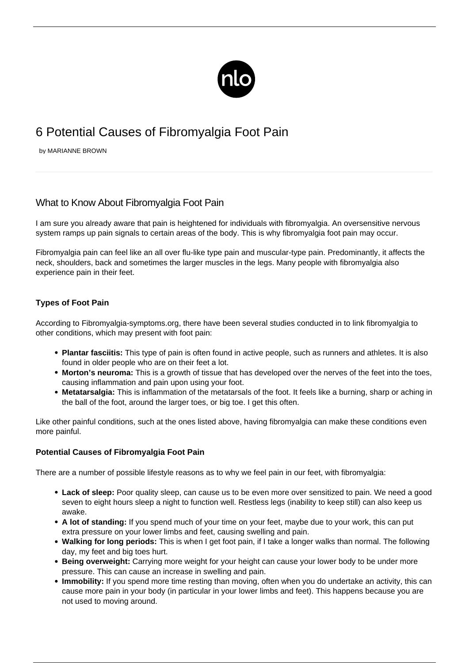

# 6 Potential Causes of Fibromyalgia Foot Pain

by MARIANNE BROWN

# What to Know About Fibromyalgia Foot Pain

I am sure you already aware that pain is heightened for individuals with fibromyalgia. An oversensitive nervous system ramps up pain signals to certain areas of the body. This is why fibromyalgia foot pain may occur.

Fibromyalgia pain can feel like an all over flu-like type pain and muscular-type pain. Predominantly, it affects the neck, shoulders, back and sometimes the larger muscles in the legs. Many people with fibromyalgia also experience pain in their feet.

# **Types of Foot Pain**

According to [Fibromyalgia-symptoms.org](https://fibromyalgia-symptoms.org/plantar-fasciitis-metatarsalig-fibromyalgia.html), there have been several studies conducted in to link fibromyalgia to other conditions, which may present with foot pain:

- **Plantar fasciitis:** This type of pain is often found in active people, such as runners and athletes. It is also found in older people who are on their feet a lot.
- **Morton's neuroma:** This is a growth of tissue that has developed over the nerves of the feet into the toes, causing inflammation and pain upon using your foot.
- **Metatarsalgia:** This is inflammation of the metatarsals of the foot. It feels like a burning, sharp or aching in the ball of the foot, around the larger toes, or big toe. I get this often.

Like other painful conditions, such at the ones listed above, having fibromyalgia can make these conditions even more painful.

# **Potential Causes of Fibromyalgia Foot Pain**

There are a number of possible lifestyle reasons as to why we feel pain in our feet, with fibromyalgia:

- **Lack of sleep:** Poor quality sleep, can cause us to be even more over sensitized to pain. We need a good seven to eight hours sleep a night to function well. [Restless legs](/infographics/fibromyalgia-restless-legs-syndrome/) (inability to keep still) can also keep us awake.
- **A lot of standing:** If you spend much of your time on your feet, maybe due to your work, this can put extra pressure on your lower limbs and feet, causing swelling and pain.
- **Walking for long periods:** This is when I get foot pain, if I take a longer walks than normal. The following day, my feet and big toes hurt.
- **Being overweight:** Carrying more weight for your height can cause your lower body to be under more pressure. This can cause an increase in swelling and pain.
- **Immobility:** If you spend more time resting than moving, often when you do undertake an activity, this can cause more pain in your body (in particular in your lower limbs and feet). This happens because you are not used to moving around.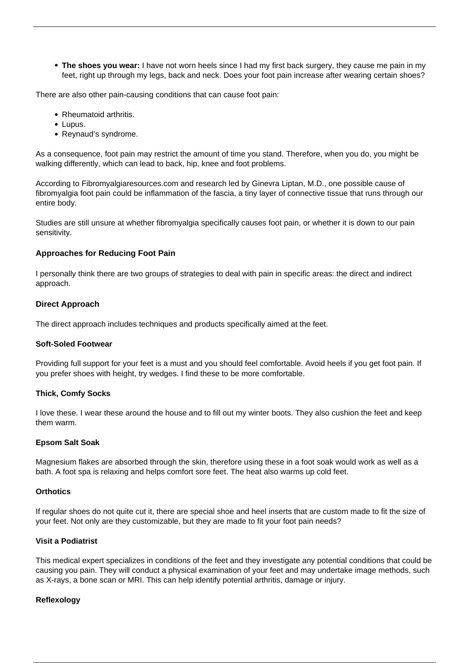**The shoes you wear:** I have not worn heels since I had my first back surgery, they cause me pain in my feet, right up through my legs, back and neck. Does your foot pain increase after wearing certain shoes?

There are also other pain-causing conditions that can cause foot pain:

- Rheumatoid arthritis.
- Lupus.
- Reynaud's syndrome.

As a consequence, foot pain may restrict the amount of time you stand. Therefore, when you do, you might be walking differently, which can lead to back, hip, knee and foot problems.

According to [Fibromyalgiaresources.com](https://fibromyalgiaresources.com/foot-pain-Fibromyalgia/) and research led by Ginevra Liptan, M.D., one possible cause of fibromyalgia foot pain could be inflammation of the fascia, a tiny layer of connective tissue that runs through our entire body.

Studies are still unsure at whether fibromyalgia specifically causes foot pain, or whether it is down to our pain sensitivity.

#### **Approaches for Reducing Foot Pain**

I personally think there are two groups of strategies to deal with pain in specific areas: the direct and indirect approach.

#### **Direct Approach**

The direct approach includes techniques and products specifically aimed at the feet.

#### **Soft-Soled Footwear**

Providing full support for your feet is a must and you should feel comfortable. Avoid heels if you get foot pain. If you prefer shoes with height, try wedges. I find these to be more comfortable.

#### **Thick, Comfy Socks**

I love these. I wear these around the house and to fill out my winter boots. They also cushion the feet and keep them warm.

#### **Epsom Salt Soak**

Magnesium flakes are absorbed through the skin, therefore using these in a foot soak would work as well as a bath. A foot spa is relaxing and helps comfort sore feet. The heat also warms up cold feet.

#### **Orthotics**

If regular shoes do not quite cut it, there are special shoe and heel inserts that are custom made to fit the size of your feet. Not only are they customizable, but they are made to fit your foot pain needs?

## **Visit a Podiatrist**

This medical expert specializes in conditions of the feet and they investigate any potential conditions that could be causing you pain. They will conduct a physical examination of your feet and may undertake image methods, such as X-rays, a bone scan or MRI. This can help identify potential arthritis, damage or injury.

## **Reflexology**